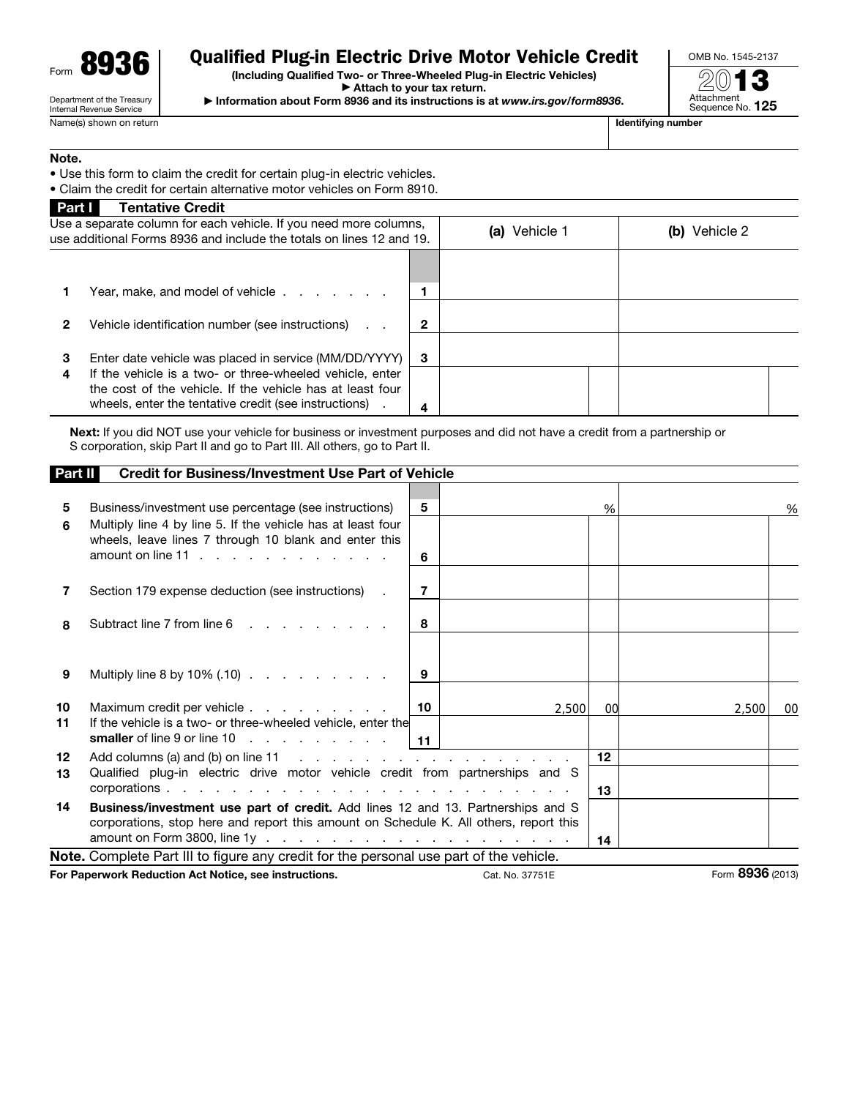

# Qualified Plug-in Electric Drive Motor Vehicle Credit

(Including Qualified Two- or Three-Wheeled Plug-in Electric Vehicles) ▶ Attach to your tax return.

OMB No. 1545-2137

Department of the Treasury Internal Revenue Service Name(s) shown on return **If the state of the state of the state of the state of the state of the state of the state of the state of the state of the state of the state of the state of the state of the state of the state of** 

▶ Information about Form 8936 and its instructions is at *www.irs.gov/form8936*.



#### Note.

• Use this form to claim the credit for certain plug-in electric vehicles.

• Claim the credit for certain alternative motor vehicles on Form 8910.

| <b>Tentative Credit</b>                                                                                                                                                        |                                            |                                                                                                                                                                                                    |                  |  |
|--------------------------------------------------------------------------------------------------------------------------------------------------------------------------------|--------------------------------------------|----------------------------------------------------------------------------------------------------------------------------------------------------------------------------------------------------|------------------|--|
|                                                                                                                                                                                |                                            | Vehicle 1<br>(a)                                                                                                                                                                                   | Vehicle 2<br>(D) |  |
|                                                                                                                                                                                |                                            |                                                                                                                                                                                                    |                  |  |
|                                                                                                                                                                                |                                            |                                                                                                                                                                                                    |                  |  |
| Vehicle identification number (see instructions)                                                                                                                               |                                            |                                                                                                                                                                                                    |                  |  |
|                                                                                                                                                                                | 3                                          |                                                                                                                                                                                                    |                  |  |
| If the vehicle is a two- or three-wheeled vehicle, enter<br>the cost of the vehicle. If the vehicle has at least four<br>wheels, enter the tentative credit (see instructions) |                                            |                                                                                                                                                                                                    |                  |  |
|                                                                                                                                                                                | Part I<br>Year, make, and model of vehicle | Use a separate column for each vehicle. If you need more columns,<br>use additional Forms 8936 and include the totals on lines 12 and 19.<br>Enter date vehicle was placed in service (MM/DD/YYYY) |                  |  |

Next: If you did NOT use your vehicle for business or investment purposes and did not have a credit from a partnership or S corporation, skip Part II and go to Part III. All others, go to Part II.

| <b>Part II</b>                                                                         | <b>Credit for Business/Investment Use Part of Vehicle</b>                                                                                                                          |                |       |                        |             |        |
|----------------------------------------------------------------------------------------|------------------------------------------------------------------------------------------------------------------------------------------------------------------------------------|----------------|-------|------------------------|-------------|--------|
| 5<br>6                                                                                 | Business/investment use percentage (see instructions)<br>Multiply line 4 by line 5. If the vehicle has at least four<br>wheels, leave lines 7 through 10 blank and enter this      | 5<br>6         |       | %                      |             | %      |
| 7                                                                                      | Section 179 expense deduction (see instructions) .                                                                                                                                 | $\overline{7}$ |       |                        |             |        |
| 8                                                                                      | Subtract line 7 from line 6                                                                                                                                                        | 8              |       |                        |             |        |
| 9                                                                                      | Multiply line 8 by 10% (.10)                                                                                                                                                       | 9              |       |                        |             |        |
| 10<br>11                                                                               | Maximum credit per vehicle<br>If the vehicle is a two- or three-wheeled vehicle, enter the<br>smaller of line 9 or line 10 $\ldots$ $\ldots$ $\ldots$ $\ldots$   11                | 10             | 2,500 | 00                     | 2,500       | $00\,$ |
| 12<br>13                                                                               | Add columns (a) and (b) on line 11 $\ldots$ $\ldots$ $\ldots$ $\ldots$ $\ldots$ $\ldots$ $\ldots$<br>Qualified plug-in electric drive motor vehicle credit from partnerships and S |                |       | 12 <sup>12</sup><br>13 |             |        |
| 14                                                                                     | <b>Business/investment use part of credit.</b> Add lines 12 and 13. Partnerships and S<br>corporations, stop here and report this amount on Schedule K. All others, report this    |                |       | 14                     |             |        |
| Note. Complete Part III to figure any credit for the personal use part of the vehicle. |                                                                                                                                                                                    |                |       |                        |             |        |
|                                                                                        |                                                                                                                                                                                    |                |       |                        | <b>0000</b> |        |

For Paperwork Reduction Act Notice, see instructions. Cat. No. 37751E Form 8936 (2013)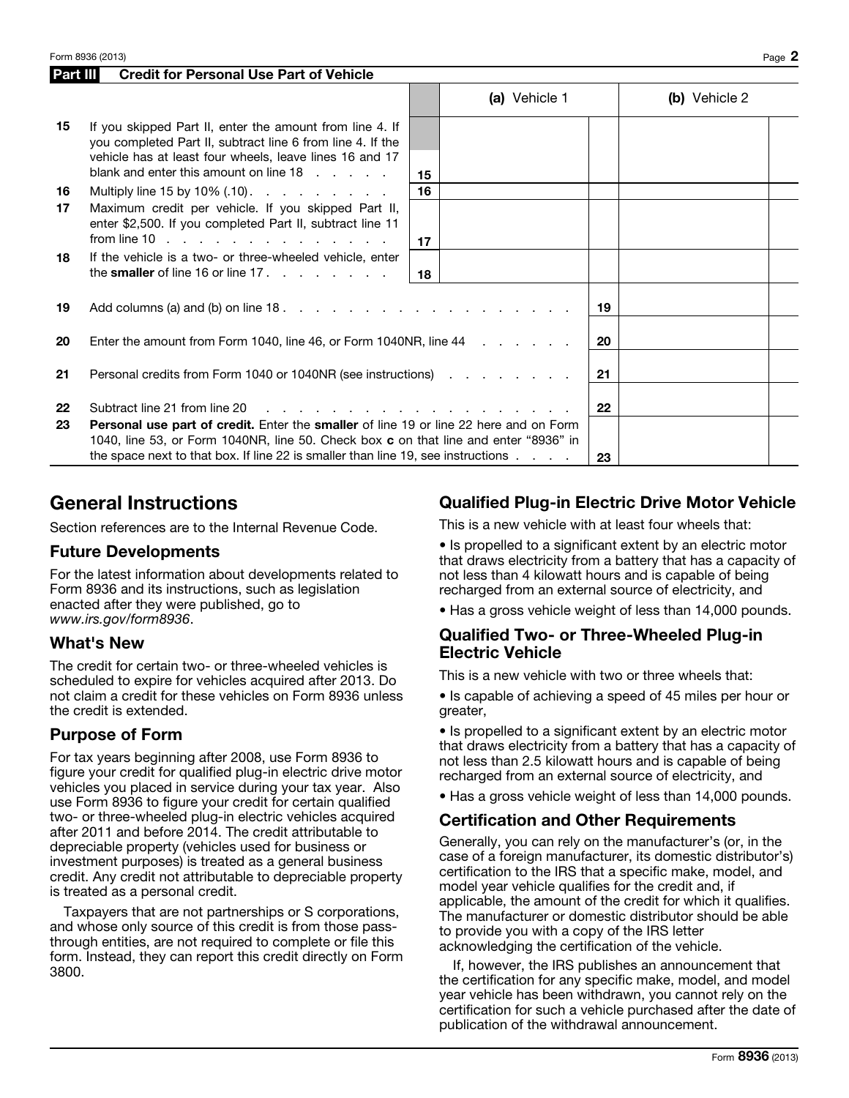|    | <b>Credit for Personal Use Part of Vehicle</b><br>Part III                                                                                                                                                                                                                   |    |               |    |               |  |  |
|----|------------------------------------------------------------------------------------------------------------------------------------------------------------------------------------------------------------------------------------------------------------------------------|----|---------------|----|---------------|--|--|
|    |                                                                                                                                                                                                                                                                              |    | (a) Vehicle 1 |    | (b) Vehicle 2 |  |  |
| 15 | If you skipped Part II, enter the amount from line 4. If<br>you completed Part II, subtract line 6 from line 4. If the<br>vehicle has at least four wheels, leave lines 16 and 17<br>blank and enter this amount on line $18 \cdot \cdot \cdot \cdot$                        | 15 |               |    |               |  |  |
| 16 | Multiply line 15 by 10% $(0.10)$ .                                                                                                                                                                                                                                           | 16 |               |    |               |  |  |
| 17 | Maximum credit per vehicle. If you skipped Part II,<br>enter \$2,500. If you completed Part II, subtract line 11<br>from line 10 $\ldots$ $\ldots$ $\ldots$ $\ldots$ $\ldots$ $\ldots$ $\ldots$                                                                              | 17 |               |    |               |  |  |
| 18 | If the vehicle is a two- or three-wheeled vehicle, enter<br>the smaller of line 16 or line 17. $\ldots$ $\ldots$ $\ldots$                                                                                                                                                    | 18 |               |    |               |  |  |
| 19 | Add columns (a) and (b) on line $18.$ $\ldots$ $\ldots$ $\ldots$ $\ldots$ $\ldots$ $\ldots$ $\ldots$                                                                                                                                                                         |    |               | 19 |               |  |  |
| 20 | Enter the amount from Form 1040, line 46, or Form 1040NR, line 44                                                                                                                                                                                                            |    | 20            |    |               |  |  |
| 21 | Personal credits from Form 1040 or 1040NR (see instructions) example in the contract of the Personal C                                                                                                                                                                       |    |               | 21 |               |  |  |
| 22 | Subtract line 21 from line 20<br>and the company of the company of the company of the company of the company of the company of the company of the company of the company of the company of the company of the company of the company of the company of the comp              |    |               | 22 |               |  |  |
| 23 | Personal use part of credit. Enter the smaller of line 19 or line 22 here and on Form<br>1040, line 53, or Form 1040NR, line 50. Check box c on that line and enter "8936" in<br>the space next to that box. If line 22 is smaller than line 19, see instructions $\ldots$ . |    |               | 23 |               |  |  |

# General Instructions

Section references are to the Internal Revenue Code.

#### Future Developments

For the latest information about developments related to Form 8936 and its instructions, such as legislation enacted after they were published, go to *www.irs.gov/form8936*.

#### What's New

The credit for certain two- or three-wheeled vehicles is scheduled to expire for vehicles acquired after 2013. Do not claim a credit for these vehicles on Form 8936 unless the credit is extended.

#### Purpose of Form

For tax years beginning after 2008, use Form 8936 to figure your credit for qualified plug-in electric drive motor vehicles you placed in service during your tax year. Also use Form 8936 to figure your credit for certain qualified two- or three-wheeled plug-in electric vehicles acquired after 2011 and before 2014. The credit attributable to depreciable property (vehicles used for business or investment purposes) is treated as a general business credit. Any credit not attributable to depreciable property is treated as a personal credit.

Taxpayers that are not partnerships or S corporations, and whose only source of this credit is from those passthrough entities, are not required to complete or file this form. Instead, they can report this credit directly on Form 3800.

### Qualified Plug-in Electric Drive Motor Vehicle

This is a new vehicle with at least four wheels that:

- Is propelled to a significant extent by an electric motor that draws electricity from a battery that has a capacity of not less than 4 kilowatt hours and is capable of being recharged from an external source of electricity, and
- Has a gross vehicle weight of less than 14,000 pounds.

#### Qualified Two- or Three-Wheeled Plug-in Electric Vehicle

This is a new vehicle with two or three wheels that:

• Is capable of achieving a speed of 45 miles per hour or greater,

• Is propelled to a significant extent by an electric motor that draws electricity from a battery that has a capacity of not less than 2.5 kilowatt hours and is capable of being recharged from an external source of electricity, and

• Has a gross vehicle weight of less than 14,000 pounds.

#### Certification and Other Requirements

Generally, you can rely on the manufacturer's (or, in the case of a foreign manufacturer, its domestic distributor's) certification to the IRS that a specific make, model, and model year vehicle qualifies for the credit and, if applicable, the amount of the credit for which it qualifies. The manufacturer or domestic distributor should be able to provide you with a copy of the IRS letter acknowledging the certification of the vehicle.

If, however, the IRS publishes an announcement that the certification for any specific make, model, and model year vehicle has been withdrawn, you cannot rely on the certification for such a vehicle purchased after the date of publication of the withdrawal announcement.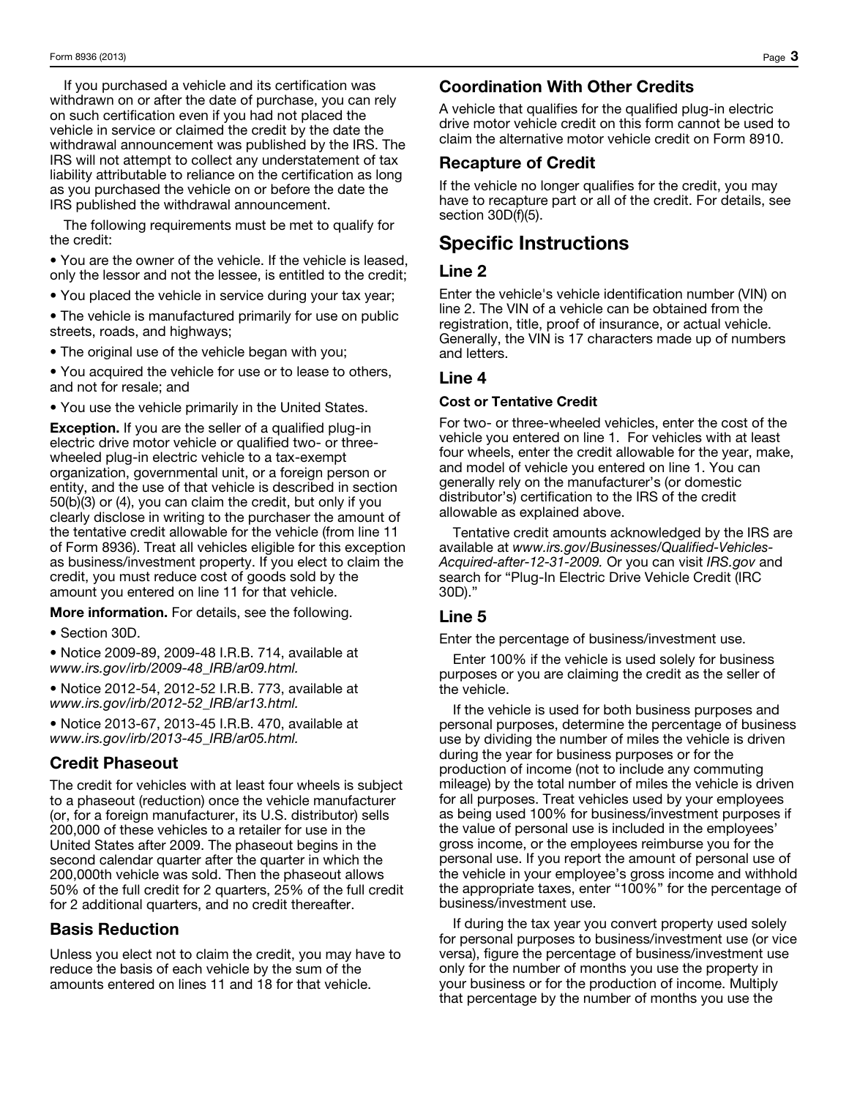If you purchased a vehicle and its certification was withdrawn on or after the date of purchase, you can rely on such certification even if you had not placed the vehicle in service or claimed the credit by the date the withdrawal announcement was published by the IRS. The IRS will not attempt to collect any understatement of tax liability attributable to reliance on the certification as long as you purchased the vehicle on or before the date the IRS published the withdrawal announcement.

The following requirements must be met to qualify for the credit:

• You are the owner of the vehicle. If the vehicle is leased, only the lessor and not the lessee, is entitled to the credit;

• You placed the vehicle in service during your tax year;

• The vehicle is manufactured primarily for use on public streets, roads, and highways;

• The original use of the vehicle began with you;

• You acquired the vehicle for use or to lease to others, and not for resale; and

• You use the vehicle primarily in the United States.

Exception. If you are the seller of a qualified plug-in electric drive motor vehicle or qualified two- or threewheeled plug-in electric vehicle to a tax-exempt organization, governmental unit, or a foreign person or entity, and the use of that vehicle is described in section 50(b)(3) or (4), you can claim the credit, but only if you clearly disclose in writing to the purchaser the amount of the tentative credit allowable for the vehicle (from line 11 of Form 8936). Treat all vehicles eligible for this exception as business/investment property. If you elect to claim the credit, you must reduce cost of goods sold by the amount you entered on line 11 for that vehicle.

More information. For details, see the following.

• Section 30D.

• Notice 2009-89, 2009-48 I.R.B. 714, available at *www.irs.gov/irb/2009-48\_IRB/ar09.html.*

• Notice 2012-54, 2012-52 I.R.B. 773, available at *www.irs.gov/irb/2012-52\_IRB/ar13.html.*

• Notice 2013-67, 2013-45 I.R.B. 470, available at *www.irs.gov/irb/2013-45\_IRB/ar05.html.*

## Credit Phaseout

The credit for vehicles with at least four wheels is subject to a phaseout (reduction) once the vehicle manufacturer (or, for a foreign manufacturer, its U.S. distributor) sells 200,000 of these vehicles to a retailer for use in the United States after 2009. The phaseout begins in the second calendar quarter after the quarter in which the 200,000th vehicle was sold. Then the phaseout allows 50% of the full credit for 2 quarters, 25% of the full credit for 2 additional quarters, and no credit thereafter.

## Basis Reduction

Unless you elect not to claim the credit, you may have to reduce the basis of each vehicle by the sum of the amounts entered on lines 11 and 18 for that vehicle.

### Coordination With Other Credits

A vehicle that qualifies for the qualified plug-in electric drive motor vehicle credit on this form cannot be used to claim the alternative motor vehicle credit on Form 8910.

#### Recapture of Credit

If the vehicle no longer qualifies for the credit, you may have to recapture part or all of the credit. For details, see section 30D(f)(5).

## Specific Instructions

#### Line 2

Enter the vehicle's vehicle identification number (VIN) on line 2. The VIN of a vehicle can be obtained from the registration, title, proof of insurance, or actual vehicle. Generally, the VIN is 17 characters made up of numbers and letters.

#### Line 4

#### Cost or Tentative Credit

For two- or three-wheeled vehicles, enter the cost of the vehicle you entered on line 1. For vehicles with at least four wheels, enter the credit allowable for the year, make, and model of vehicle you entered on line 1. You can generally rely on the manufacturer's (or domestic distributor's) certification to the IRS of the credit allowable as explained above.

Tentative credit amounts acknowledged by the IRS are available at *www.irs.gov/Businesses/Qualified-Vehicles-Acquired-after-12-31-2009.* Or you can visit *IRS.gov* and search for "Plug-In Electric Drive Vehicle Credit (IRC 30D)."

### Line 5

Enter the percentage of business/investment use.

Enter 100% if the vehicle is used solely for business purposes or you are claiming the credit as the seller of the vehicle.

If the vehicle is used for both business purposes and personal purposes, determine the percentage of business use by dividing the number of miles the vehicle is driven during the year for business purposes or for the production of income (not to include any commuting mileage) by the total number of miles the vehicle is driven for all purposes. Treat vehicles used by your employees as being used 100% for business/investment purposes if the value of personal use is included in the employees' gross income, or the employees reimburse you for the personal use. If you report the amount of personal use of the vehicle in your employee's gross income and withhold the appropriate taxes, enter "100%" for the percentage of business/investment use.

If during the tax year you convert property used solely for personal purposes to business/investment use (or vice versa), figure the percentage of business/investment use only for the number of months you use the property in your business or for the production of income. Multiply that percentage by the number of months you use the